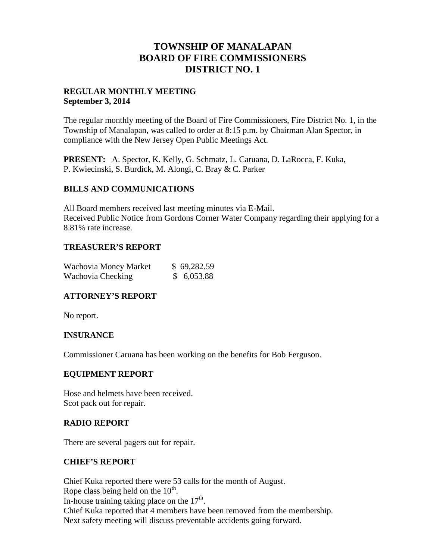# **TOWNSHIP OF MANALAPAN BOARD OF FIRE COMMISSIONERS DISTRICT NO. 1**

### **REGULAR MONTHLY MEETING September 3, 2014**

The regular monthly meeting of the Board of Fire Commissioners, Fire District No. 1, in the Township of Manalapan, was called to order at 8:15 p.m. by Chairman Alan Spector, in compliance with the New Jersey Open Public Meetings Act.

**PRESENT:** A. Spector, K. Kelly, G. Schmatz, L. Caruana, D. LaRocca, F. Kuka, P. Kwiecinski, S. Burdick, M. Alongi, C. Bray & C. Parker

## **BILLS AND COMMUNICATIONS**

All Board members received last meeting minutes via E-Mail. Received Public Notice from Gordons Corner Water Company regarding their applying for a 8.81% rate increase.

## **TREASURER'S REPORT**

| Wachovia Money Market | \$69,282.59 |
|-----------------------|-------------|
| Wachovia Checking     | \$6,053.88  |

# **ATTORNEY'S REPORT**

No report.

# **INSURANCE**

Commissioner Caruana has been working on the benefits for Bob Ferguson.

#### **EQUIPMENT REPORT**

Hose and helmets have been received. Scot pack out for repair.

#### **RADIO REPORT**

There are several pagers out for repair.

#### **CHIEF'S REPORT**

Chief Kuka reported there were 53 calls for the month of August. Rope class being held on the  $10<sup>th</sup>$ . In-house training taking place on the  $17<sup>th</sup>$ . Chief Kuka reported that 4 members have been removed from the membership. Next safety meeting will discuss preventable accidents going forward.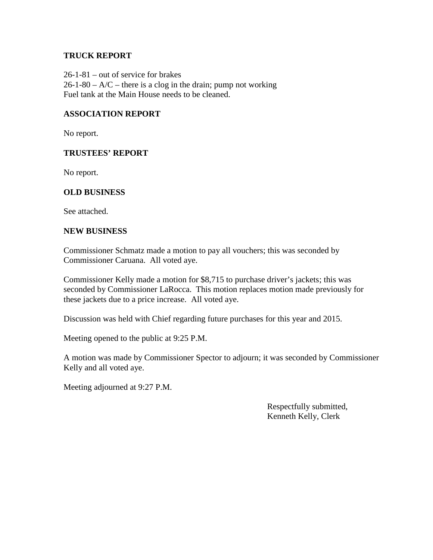### **TRUCK REPORT**

26-1-81 – out of service for brakes  $26-1-80 - A/C$  – there is a clog in the drain; pump not working Fuel tank at the Main House needs to be cleaned.

## **ASSOCIATION REPORT**

No report.

#### **TRUSTEES' REPORT**

No report.

#### **OLD BUSINESS**

See attached.

#### **NEW BUSINESS**

Commissioner Schmatz made a motion to pay all vouchers; this was seconded by Commissioner Caruana. All voted aye.

Commissioner Kelly made a motion for \$8,715 to purchase driver's jackets; this was seconded by Commissioner LaRocca. This motion replaces motion made previously for these jackets due to a price increase. All voted aye.

Discussion was held with Chief regarding future purchases for this year and 2015.

Meeting opened to the public at 9:25 P.M.

A motion was made by Commissioner Spector to adjourn; it was seconded by Commissioner Kelly and all voted aye.

Meeting adjourned at 9:27 P.M.

Respectfully submitted, Kenneth Kelly, Clerk